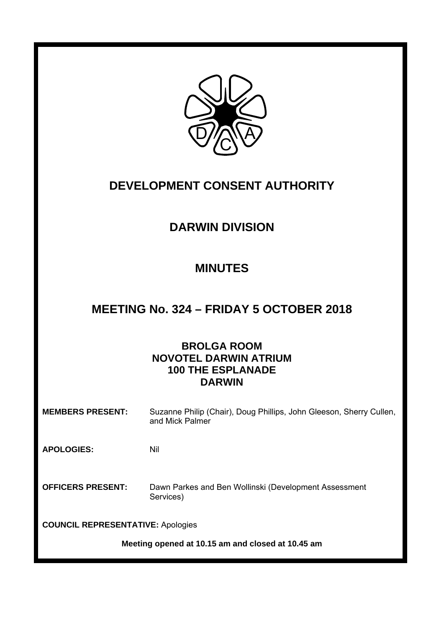

# **DEVELOPMENT CONSENT AUTHORITY**

# **DARWIN DIVISION**

# **MINUTES**

# **MEETING No. 324 – FRIDAY 5 OCTOBER 2018**

## **BROLGA ROOM NOVOTEL DARWIN ATRIUM 100 THE ESPLANADE DARWIN**

**MEMBERS PRESENT:** Suzanne Philip (Chair), Doug Phillips, John Gleeson, Sherry Cullen, and Mick Palmer

**APOLOGIES:** Nil

**OFFICERS PRESENT:** Dawn Parkes and Ben Wollinski (Development Assessment Services)

**COUNCIL REPRESENTATIVE:** Apologies

**Meeting opened at 10.15 am and closed at 10.45 am**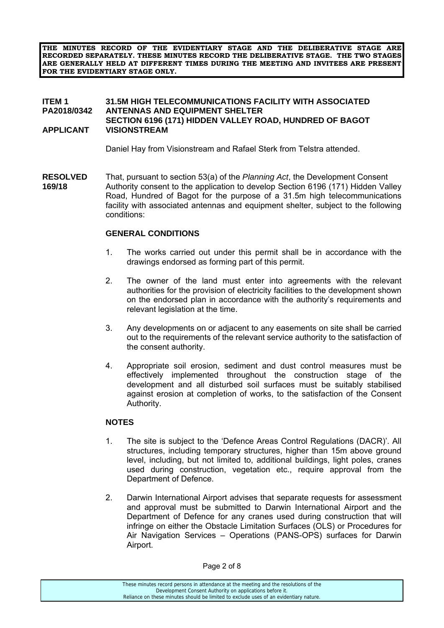**THE MINUTES RECORD OF THE EVIDENTIARY STAGE AND THE DELIBERATIVE STAGE ARE RECORDED SEPARATELY. THESE MINUTES RECORD THE DELIBERATIVE STAGE. THE TWO STAGES ARE GENERALLY HELD AT DIFFERENT TIMES DURING THE MEETING AND INVITEES ARE PRESENT FOR THE EVIDENTIARY STAGE ONLY.** 

#### **ITEM 1 31.5M HIGH TELECOMMUNICATIONS FACILITY WITH ASSOCIATED PA2018/0342 ANTENNAS AND EQUIPMENT SHELTER SECTION 6196 (171) HIDDEN VALLEY ROAD, HUNDRED OF BAGOT<br>APPLICANT VISIONSTREAM VISIONSTREAM**

Daniel Hay from Visionstream and Rafael Sterk from Telstra attended.

**RESOLVED** That, pursuant to section 53(a) of the *Planning Act*, the Development Consent **169/18** Authority consent to the application to develop Section 6196 (171) Hidden Valley Road, Hundred of Bagot for the purpose of a 31.5m high telecommunications facility with associated antennas and equipment shelter, subject to the following conditions:

#### **GENERAL CONDITIONS**

- 1. The works carried out under this permit shall be in accordance with the drawings endorsed as forming part of this permit.
- 2. The owner of the land must enter into agreements with the relevant authorities for the provision of electricity facilities to the development shown on the endorsed plan in accordance with the authority's requirements and relevant legislation at the time.
- 3. Any developments on or adjacent to any easements on site shall be carried out to the requirements of the relevant service authority to the satisfaction of the consent authority.
- 4. Appropriate soil erosion, sediment and dust control measures must be effectively implemented throughout the construction stage of the development and all disturbed soil surfaces must be suitably stabilised against erosion at completion of works, to the satisfaction of the Consent Authority.

#### **NOTES**

- 1. The site is subject to the 'Defence Areas Control Regulations (DACR)'. All structures, including temporary structures, higher than 15m above ground level, including, but not limited to, additional buildings, light poles, cranes used during construction, vegetation etc., require approval from the Department of Defence.
- 2. Darwin International Airport advises that separate requests for assessment and approval must be submitted to Darwin International Airport and the Department of Defence for any cranes used during construction that will infringe on either the Obstacle Limitation Surfaces (OLS) or Procedures for Air Navigation Services – Operations (PANS-OPS) surfaces for Darwin Airport.

These minutes record persons in attendance at the meeting and the resolutions of the Development Consent Authority on applications before it. Reliance on these minutes should be limited to exclude uses of an evidentiary nature.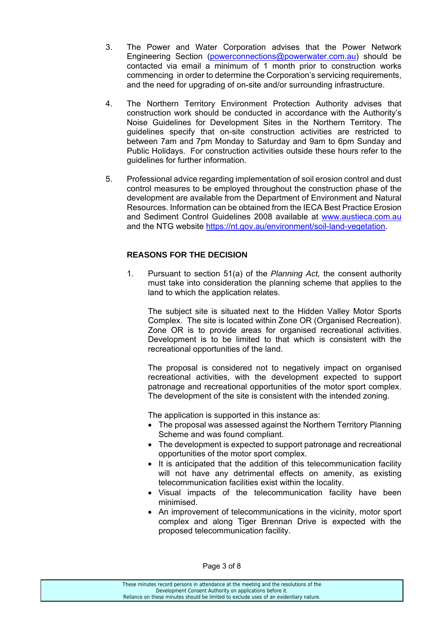- 3. The Power and Water Corporation advises that the Power Network Engineering Section (powerconnections@powerwater.com.au) should be contacted via email a minimum of 1 month prior to construction works commencing in order to determine the Corporation's servicing requirements, and the need for upgrading of on-site and/or surrounding infrastructure.
- 4. The Northern Territory Environment Protection Authority advises that construction work should be conducted in accordance with the Authority's Noise Guidelines for Development Sites in the Northern Territory. The guidelines specify that on-site construction activities are restricted to between 7am and 7pm Monday to Saturday and 9am to 6pm Sunday and Public Holidays. For construction activities outside these hours refer to the guidelines for further information.
- 5. Professional advice regarding implementation of soil erosion control and dust control measures to be employed throughout the construction phase of the development are available from the Department of Environment and Natural Resources. Information can be obtained from the IECA Best Practice Erosion and Sediment Control Guidelines 2008 available at www.austieca.com.au and the NTG website https://nt.gov.au/environment/soil-land-vegetation.

### **REASONS FOR THE DECISION**

1. Pursuant to section 51(a) of the *Planning Act,* the consent authority must take into consideration the planning scheme that applies to the land to which the application relates.

 The subject site is situated next to the Hidden Valley Motor Sports Complex. The site is located within Zone OR (Organised Recreation). Zone OR is to provide areas for organised recreational activities. Development is to be limited to that which is consistent with the recreational opportunities of the land.

 The proposal is considered not to negatively impact on organised recreational activities, with the development expected to support patronage and recreational opportunities of the motor sport complex. The development of the site is consistent with the intended zoning.

The application is supported in this instance as:

- The proposal was assessed against the Northern Territory Planning Scheme and was found compliant.
- The development is expected to support patronage and recreational opportunities of the motor sport complex.
- It is anticipated that the addition of this telecommunication facility will not have any detrimental effects on amenity, as existing telecommunication facilities exist within the locality.
- Visual impacts of the telecommunication facility have been minimised.
- An improvement of telecommunications in the vicinity, motor sport complex and along Tiger Brennan Drive is expected with the proposed telecommunication facility.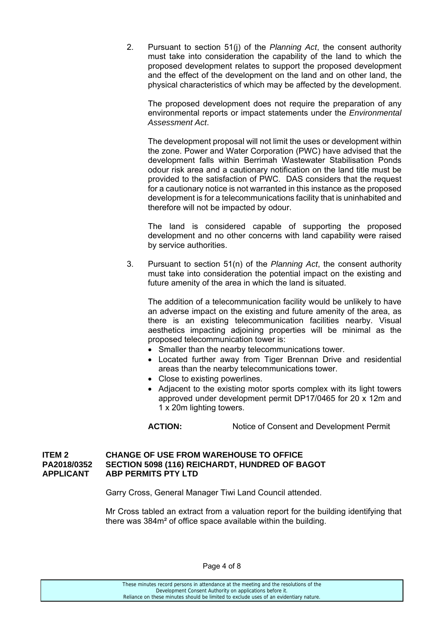2. Pursuant to section 51(j) of the *Planning Act*, the consent authority must take into consideration the capability of the land to which the proposed development relates to support the proposed development and the effect of the development on the land and on other land, the physical characteristics of which may be affected by the development.

 The proposed development does not require the preparation of any environmental reports or impact statements under the *Environmental Assessment Act*.

 The development proposal will not limit the uses or development within the zone. Power and Water Corporation (PWC) have advised that the development falls within Berrimah Wastewater Stabilisation Ponds odour risk area and a cautionary notification on the land title must be provided to the satisfaction of PWC. DAS considers that the request for a cautionary notice is not warranted in this instance as the proposed development is for a telecommunications facility that is uninhabited and therefore will not be impacted by odour.

 The land is considered capable of supporting the proposed development and no other concerns with land capability were raised by service authorities.

3. Pursuant to section 51(n) of the *Planning Act*, the consent authority must take into consideration the potential impact on the existing and future amenity of the area in which the land is situated.

 The addition of a telecommunication facility would be unlikely to have an adverse impact on the existing and future amenity of the area, as there is an existing telecommunication facilities nearby. Visual aesthetics impacting adjoining properties will be minimal as the proposed telecommunication tower is:

- Smaller than the nearby telecommunications tower.
- Located further away from Tiger Brennan Drive and residential areas than the nearby telecommunications tower.
- Close to existing powerlines.
- Adjacent to the existing motor sports complex with its light towers approved under development permit DP17/0465 for 20 x 12m and 1 x 20m lighting towers.

**ACTION:** Notice of Consent and Development Permit

#### **ITEM 2 CHANGE OF USE FROM WAREHOUSE TO OFFICE PA2018/0352 SECTION 5098 (116) REICHARDT, HUNDRED OF BAGOT APPLICANT ABP PERMITS PTY LTD**

Garry Cross, General Manager Tiwi Land Council attended.

 Mr Cross tabled an extract from a valuation report for the building identifying that there was 384m² of office space available within the building.

Page 4 of 8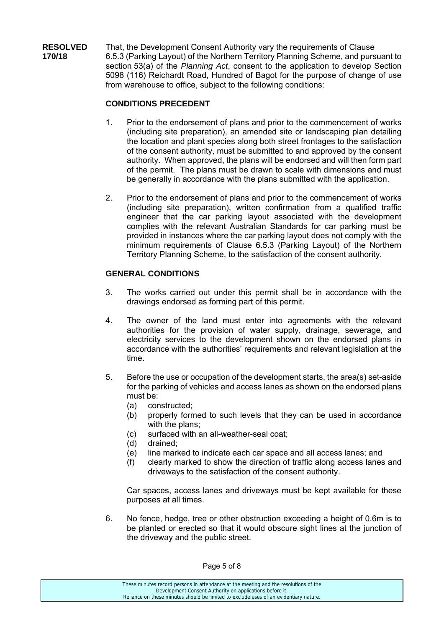**RESOLVED** That, the Development Consent Authority vary the requirements of Clause **170/18** 6.5.3 (Parking Layout) of the Northern Territory Planning Scheme, and pursuant to section 53(a) of the *Planning Act*, consent to the application to develop Section 5098 (116) Reichardt Road, Hundred of Bagot for the purpose of change of use from warehouse to office, subject to the following conditions:

### **CONDITIONS PRECEDENT**

- 1. Prior to the endorsement of plans and prior to the commencement of works (including site preparation), an amended site or landscaping plan detailing the location and plant species along both street frontages to the satisfaction of the consent authority, must be submitted to and approved by the consent authority. When approved, the plans will be endorsed and will then form part of the permit. The plans must be drawn to scale with dimensions and must be generally in accordance with the plans submitted with the application.
- 2. Prior to the endorsement of plans and prior to the commencement of works (including site preparation), written confirmation from a qualified traffic engineer that the car parking layout associated with the development complies with the relevant Australian Standards for car parking must be provided in instances where the car parking layout does not comply with the minimum requirements of Clause 6.5.3 (Parking Layout) of the Northern Territory Planning Scheme, to the satisfaction of the consent authority.

### **GENERAL CONDITIONS**

- 3. The works carried out under this permit shall be in accordance with the drawings endorsed as forming part of this permit.
- 4. The owner of the land must enter into agreements with the relevant authorities for the provision of water supply, drainage, sewerage, and electricity services to the development shown on the endorsed plans in accordance with the authorities' requirements and relevant legislation at the time.
- 5. Before the use or occupation of the development starts, the area(s) set-aside for the parking of vehicles and access lanes as shown on the endorsed plans must be:
	- (a) constructed;
	- (b) properly formed to such levels that they can be used in accordance with the plans:
	- (c) surfaced with an all-weather-seal coat;
	- (d) drained;
	- (e) line marked to indicate each car space and all access lanes; and
	- (f) clearly marked to show the direction of traffic along access lanes and driveways to the satisfaction of the consent authority.

Car spaces, access lanes and driveways must be kept available for these purposes at all times.

6. No fence, hedge, tree or other obstruction exceeding a height of 0.6m is to be planted or erected so that it would obscure sight lines at the junction of the driveway and the public street.

Page 5 of 8

These minutes record persons in attendance at the meeting and the resolutions of the Development Consent Authority on applications before it. Reliance on these minutes should be limited to exclude uses of an evidentiary nature.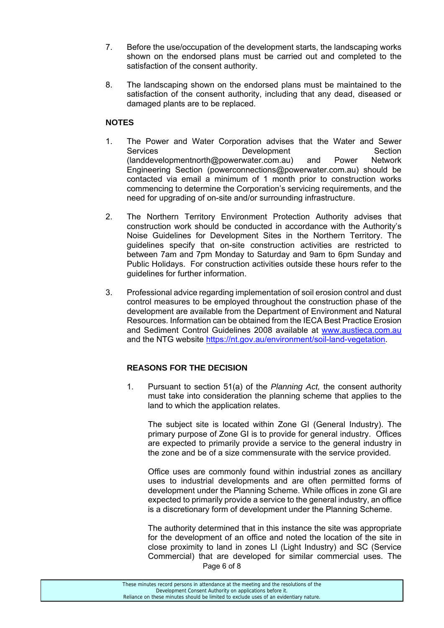- 7. Before the use/occupation of the development starts, the landscaping works shown on the endorsed plans must be carried out and completed to the satisfaction of the consent authority.
- 8. The landscaping shown on the endorsed plans must be maintained to the satisfaction of the consent authority, including that any dead, diseased or damaged plants are to be replaced.

### **NOTES**

- 1. The Power and Water Corporation advises that the Water and Sewer Services **Development** Development Section (landdevelopmentnorth@powerwater.com.au) and Power Network Engineering Section (powerconnections@powerwater.com.au) should be contacted via email a minimum of 1 month prior to construction works commencing to determine the Corporation's servicing requirements, and the need for upgrading of on-site and/or surrounding infrastructure.
- 2. The Northern Territory Environment Protection Authority advises that construction work should be conducted in accordance with the Authority's Noise Guidelines for Development Sites in the Northern Territory. The guidelines specify that on-site construction activities are restricted to between 7am and 7pm Monday to Saturday and 9am to 6pm Sunday and Public Holidays. For construction activities outside these hours refer to the guidelines for further information.
- 3. Professional advice regarding implementation of soil erosion control and dust control measures to be employed throughout the construction phase of the development are available from the Department of Environment and Natural Resources. Information can be obtained from the IECA Best Practice Erosion and Sediment Control Guidelines 2008 available at www.austieca.com.au and the NTG website https://nt.gov.au/environment/soil-land-vegetation.

### **REASONS FOR THE DECISION**

1. Pursuant to section 51(a) of the *Planning Act,* the consent authority must take into consideration the planning scheme that applies to the land to which the application relates.

The subject site is located within Zone GI (General Industry). The primary purpose of Zone GI is to provide for general industry. Offices are expected to primarily provide a service to the general industry in the zone and be of a size commensurate with the service provided.

Office uses are commonly found within industrial zones as ancillary uses to industrial developments and are often permitted forms of development under the Planning Scheme. While offices in zone GI are expected to primarily provide a service to the general industry, an office is a discretionary form of development under the Planning Scheme.

Page 6 of 8 The authority determined that in this instance the site was appropriate for the development of an office and noted the location of the site in close proximity to land in zones LI (Light Industry) and SC (Service Commercial) that are developed for similar commercial uses. The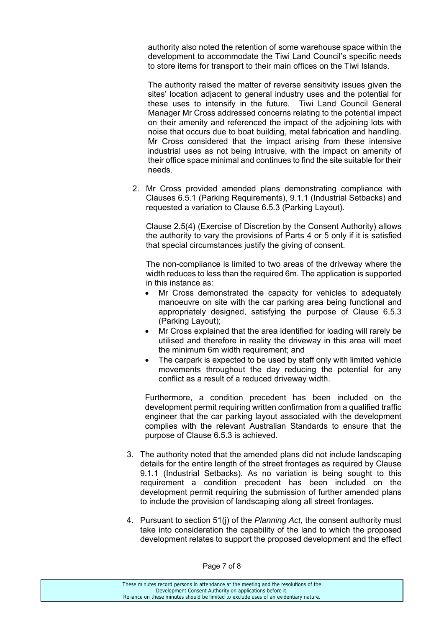authority also noted the retention of some warehouse space within the development to accommodate the Tiwi Land Council's specific needs to store items for transport to their main offices on the Tiwi Islands.

The authority raised the matter of reverse sensitivity issues given the sites' location adjacent to general industry uses and the potential for these uses to intensify in the future. Tiwi Land Council General Manager Mr Cross addressed concerns relating to the potential impact on their amenity and referenced the impact of the adjoining lots with noise that occurs due to boat building, metal fabrication and handling. Mr Cross considered that the impact arising from these intensive industrial uses as not being intrusive, with the impact on amenity of their office space minimal and continues to find the site suitable for their needs.

2. Mr Cross provided amended plans demonstrating compliance with Clauses 6.5.1 (Parking Requirements), 9.1.1 (Industrial Setbacks) and requested a variation to Clause 6.5.3 (Parking Layout).

Clause 2.5(4) (Exercise of Discretion by the Consent Authority) allows the authority to vary the provisions of Parts 4 or 5 only if it is satisfied that special circumstances justify the giving of consent.

The non-compliance is limited to two areas of the driveway where the width reduces to less than the required 6m. The application is supported in this instance as:

- Mr Cross demonstrated the capacity for vehicles to adequately manoeuvre on site with the car parking area being functional and appropriately designed, satisfying the purpose of Clause 6.5.3 (Parking Layout);
- Mr Cross explained that the area identified for loading will rarely be utilised and therefore in reality the driveway in this area will meet the minimum 6m width requirement; and
- The carpark is expected to be used by staff only with limited vehicle movements throughout the day reducing the potential for any conflict as a result of a reduced driveway width.

Furthermore, a condition precedent has been included on the development permit requiring written confirmation from a qualified traffic engineer that the car parking layout associated with the development complies with the relevant Australian Standards to ensure that the purpose of Clause 6.5.3 is achieved.

- 3. The authority noted that the amended plans did not include landscaping details for the entire length of the street frontages as required by Clause 9.1.1 (Industrial Setbacks). As no variation is being sought to this requirement a condition precedent has been included on the development permit requiring the submission of further amended plans to include the provision of landscaping along all street frontages.
- 4. Pursuant to section 51(j) of the *Planning Act*, the consent authority must take into consideration the capability of the land to which the proposed development relates to support the proposed development and the effect